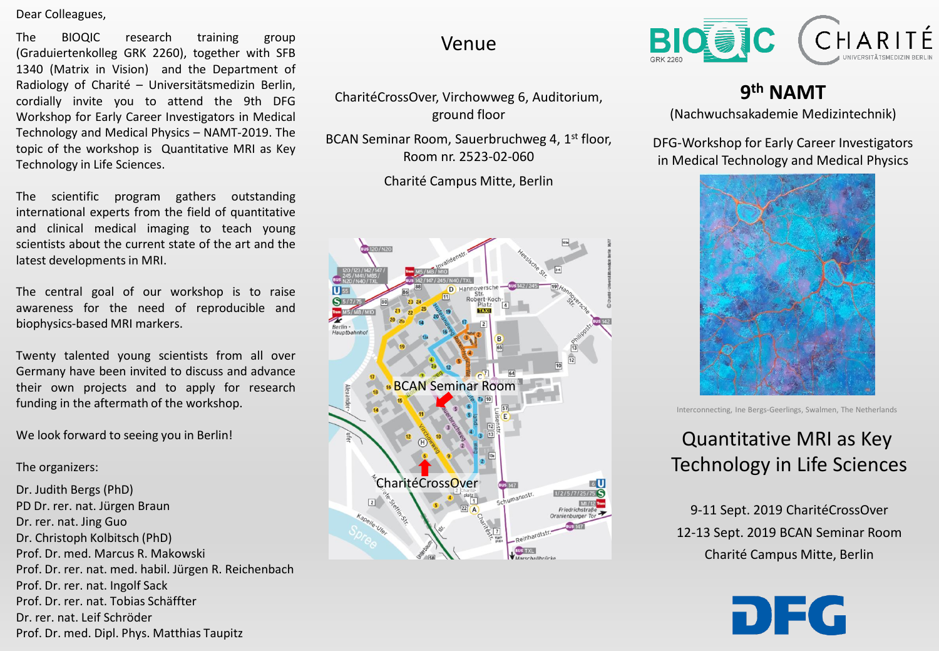Dear Colleagues,

The BIOQIC research training group (Graduiertenkolleg GRK 2260), together with SFB 1340 (Matrix in Vision) and the Department of Radiology of Charité – Universitätsmedizin Berlin, cordially invite you to attend the 9th DFG Workshop for Early Career Investigators in Medical Technology and Medical Physics – NAMT-2019. The topic of the workshop is Quantitative MRI as Key Technology in Life Sciences.

The scientific program gathers outstanding international experts from the field of quantitative and clinical medical imaging to teach young scientists about the current state of the art and the latest developments in MRI.

The central goal of our workshop is to raise awareness for the need of reproducible and biophysics-based MRI markers.

Twenty talented young scientists from all over Germany have been invited to discuss and advance their own projects and to apply for research funding in the aftermath of the workshop.

We look forward to seeing you in Berlin!

The organizers:

Dr. Judith Bergs (PhD) PD Dr. rer. nat. Jürgen Braun Dr. rer. nat. Jing Guo Dr. Christoph Kolbitsch (PhD) Prof. Dr. med. Marcus R. Makowski Prof. Dr. rer. nat. med. habil. Jürgen R. Reichenbach Prof. Dr. rer. nat. Ingolf Sack Prof. Dr. rer. nat. Tobias Schäffter Dr. rer. nat. Leif Schröder Prof. Dr. med. Dipl. Phys. Matthias Taupitz

#### Venue

CharitéCrossOver, Virchowweg 6, Auditorium, ground floor

BCAN Seminar Room, Sauerbruchweg 4, 1<sup>st</sup> floor, Room nr. 2523-02-060

Charité Campus Mitte, Berlin





### **9 th NAMT**

(Nachwuchsakademie Medizintechnik)

DFG-Workshop for Early Career Investigators in Medical Technology and Medical Physics



Interconnecting, Ine Bergs-Geerlings, Swalmen, The Netherlands

## Quantitative MRI as Key Technology in Life Sciences

9-11 Sept. 2019 CharitéCrossOver 12-13 Sept. 2019 BCAN Seminar Room Charité Campus Mitte, Berlin